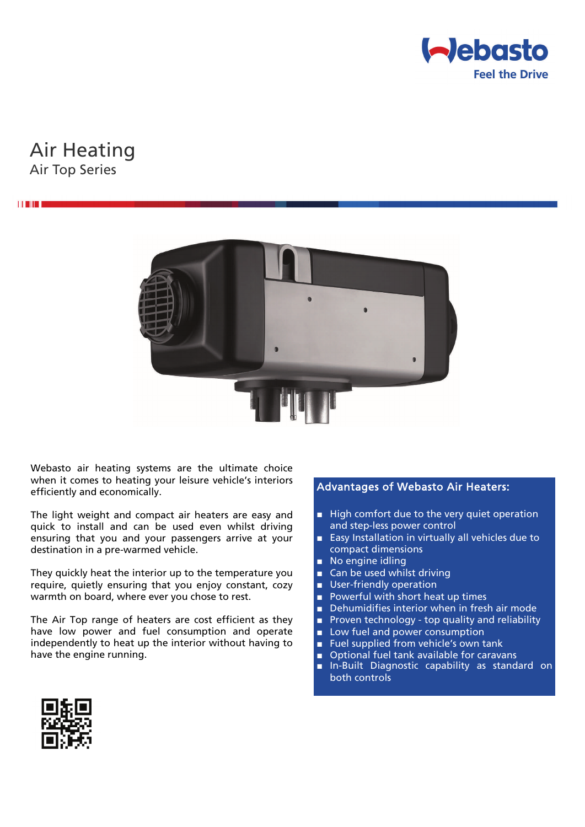

# Air Heating Air Top Series



Webasto air heating systems are the ultimate choice when it comes to heating your leisure vehicle's interiors efficiently and economically.

The light weight and compact air heaters are easy and quick to install and can be used even whilst driving ensuring that you and your passengers arrive at your destination in a pre-warmed vehicle.

They quickly heat the interior up to the temperature you require, quietly ensuring that you enjoy constant, cozy warmth on board, where ever you chose to rest.

The Air Top range of heaters are cost efficient as they have low power and fuel consumption and operate independently to heat up the interior without having to have the engine running.

## Advantages of Webasto Air Heaters:

- High comfort due to the very quiet operation and step-less power control
- Easy Installation in virtually all vehicles due to compact dimensions
- No engine idling
- Can be used whilst driving
- User-friendly operation
- Powerful with short heat up times
- Dehumidifies interior when in fresh air mode
- Proven technology top quality and reliability
- Low fuel and power consumption
- Fuel supplied from vehicle's own tank
- Optional fuel tank available for caravans
- In-Built Diagnostic capability as standard on both controls